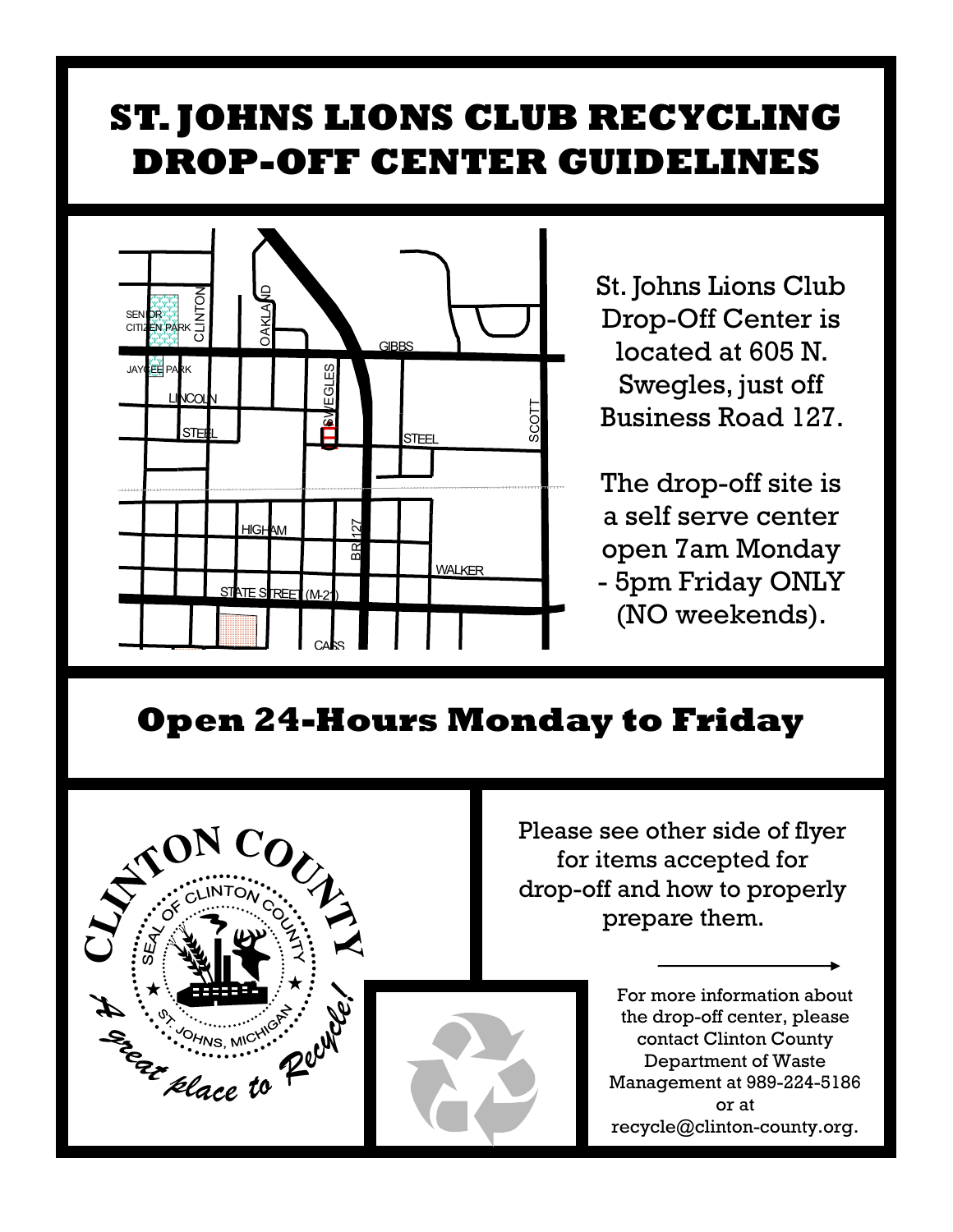## **ST. JOHNS LIONS CLUB RECYCLING DROP-OFF CENTER GUIDELINES**



St. Johns Lions Club Drop-Off Center is located at 605 N. Swegles, just off Business Road 127.

The drop-off site is a self serve center open 7am Monday - 5pm Friday ONLY (NO weekends).

## **Open 24-Hours Monday to Friday**



Please see other side of flyer for items accepted for drop-off and how to properly prepare them.

> For more information about the drop-off center, please contact Clinton County Department of Waste Management at 989-224-5186 or at recycle@clinton-county.org.